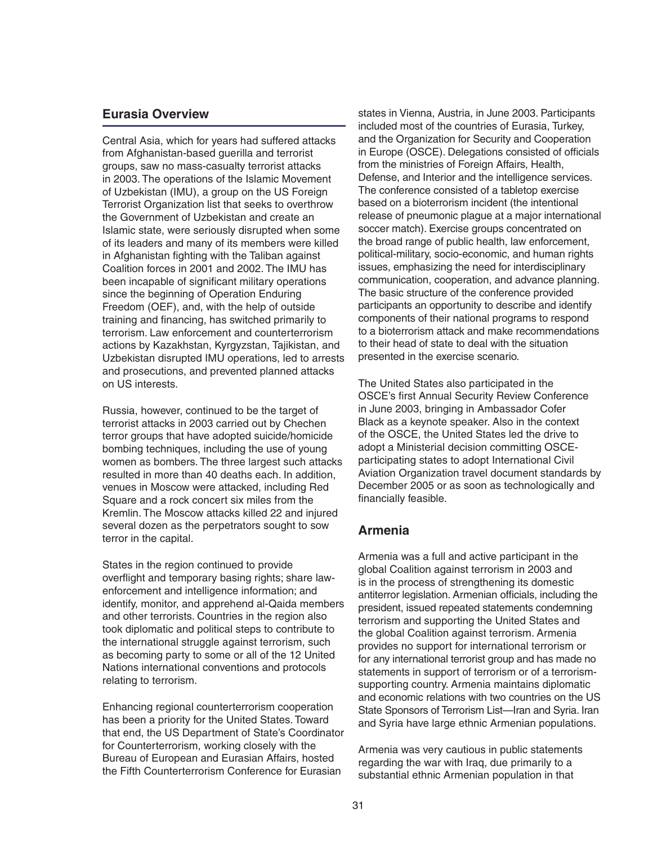#### **Eurasia Overview**

Central Asia, which for years had suffered attacks from Afghanistan-based guerilla and terrorist groups, saw no mass-casualty terrorist attacks in 2003. The operations of the Islamic Movement of Uzbekistan (IMU), a group on the US Foreign Terrorist Organization list that seeks to overthrow the Government of Uzbekistan and create an Islamic state, were seriously disrupted when some of its leaders and many of its members were killed in Afghanistan fighting with the Taliban against Coalition forces in 2001 and 2002. The IMU has been incapable of significant military operations since the beginning of Operation Enduring Freedom (OEF), and, with the help of outside training and financing, has switched primarily to terrorism. Law enforcement and counterterrorism actions by Kazakhstan, Kyrgyzstan, Tajikistan, and Uzbekistan disrupted IMU operations, led to arrests and prosecutions, and prevented planned attacks on US interests.

Russia, however, continued to be the target of terrorist attacks in 2003 carried out by Chechen terror groups that have adopted suicide/homicide bombing techniques, including the use of young women as bombers. The three largest such attacks resulted in more than 40 deaths each. In addition, venues in Moscow were attacked, including Red Square and a rock concert six miles from the Kremlin. The Moscow attacks killed 22 and injured several dozen as the perpetrators sought to sow terror in the capital.

States in the region continued to provide overflight and temporary basing rights; share lawenforcement and intelligence information; and identify, monitor, and apprehend al-Qaida members and other terrorists. Countries in the region also took diplomatic and political steps to contribute to the international struggle against terrorism, such as becoming party to some or all of the 12 United Nations international conventions and protocols relating to terrorism.

Enhancing regional counterterrorism cooperation has been a priority for the United States. Toward that end, the US Department of State's Coordinator for Counterterrorism, working closely with the Bureau of European and Eurasian Affairs, hosted the Fifth Counterterrorism Conference for Eurasian

states in Vienna, Austria, in June 2003. Participants included most of the countries of Eurasia, Turkey, and the Organization for Security and Cooperation in Europe (OSCE). Delegations consisted of officials from the ministries of Foreign Affairs, Health, Defense, and Interior and the intelligence services. The conference consisted of a tabletop exercise based on a bioterrorism incident (the intentional release of pneumonic plague at a major international soccer match). Exercise groups concentrated on the broad range of public health, law enforcement, political-military, socio-economic, and human rights issues, emphasizing the need for interdisciplinary communication, cooperation, and advance planning. The basic structure of the conference provided participants an opportunity to describe and identify components of their national programs to respond to a bioterrorism attack and make recommendations to their head of state to deal with the situation presented in the exercise scenario.

The United States also participated in the OSCE's first Annual Security Review Conference in June 2003, bringing in Ambassador Cofer Black as a keynote speaker. Also in the context of the OSCE, the United States led the drive to adopt a Ministerial decision committing OSCEparticipating states to adopt International Civil Aviation Organization travel document standards by December 2005 or as soon as technologically and financially feasible.

#### **Armenia**

Armenia was a full and active participant in the global Coalition against terrorism in 2003 and is in the process of strengthening its domestic antiterror legislation. Armenian officials, including the president, issued repeated statements condemning terrorism and supporting the United States and the global Coalition against terrorism. Armenia provides no support for international terrorism or for any international terrorist group and has made no statements in support of terrorism or of a terrorismsupporting country. Armenia maintains diplomatic and economic relations with two countries on the US State Sponsors of Terrorism List—Iran and Syria. Iran and Syria have large ethnic Armenian populations.

Armenia was very cautious in public statements regarding the war with Iraq, due primarily to a substantial ethnic Armenian population in that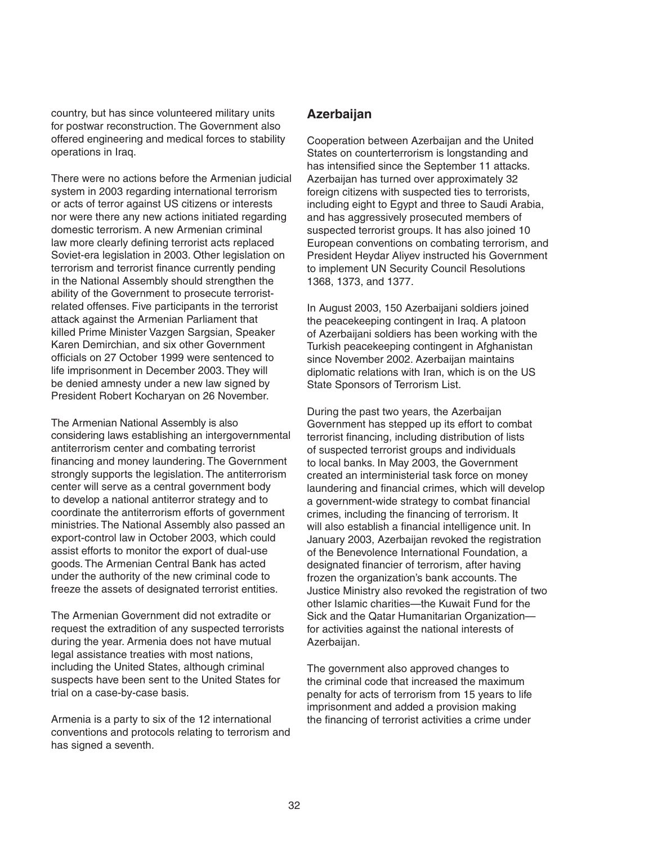country, but has since volunteered military units for postwar reconstruction. The Government also offered engineering and medical forces to stability operations in Iraq.

There were no actions before the Armenian judicial system in 2003 regarding international terrorism or acts of terror against US citizens or interests nor were there any new actions initiated regarding domestic terrorism. A new Armenian criminal law more clearly defining terrorist acts replaced Soviet-era legislation in 2003. Other legislation on terrorism and terrorist finance currently pending in the National Assembly should strengthen the ability of the Government to prosecute terroristrelated offenses. Five participants in the terrorist attack against the Armenian Parliament that killed Prime Minister Vazgen Sargsian, Speaker Karen Demirchian, and six other Government officials on 27 October 1999 were sentenced to life imprisonment in December 2003. They will be denied amnesty under a new law signed by President Robert Kocharyan on 26 November.

The Armenian National Assembly is also considering laws establishing an intergovernmental antiterrorism center and combating terrorist financing and money laundering. The Government strongly supports the legislation. The antiterrorism center will serve as a central government body to develop a national antiterror strategy and to coordinate the antiterrorism efforts of government ministries. The National Assembly also passed an export-control law in October 2003, which could assist efforts to monitor the export of dual-use goods. The Armenian Central Bank has acted under the authority of the new criminal code to freeze the assets of designated terrorist entities.

The Armenian Government did not extradite or request the extradition of any suspected terrorists during the year. Armenia does not have mutual legal assistance treaties with most nations, including the United States, although criminal suspects have been sent to the United States for trial on a case-by-case basis.

Armenia is a party to six of the 12 international conventions and protocols relating to terrorism and has signed a seventh.

#### **Azerbaijan**

Cooperation between Azerbaijan and the United States on counterterrorism is longstanding and has intensified since the September 11 attacks. Azerbaijan has turned over approximately 32 foreign citizens with suspected ties to terrorists, including eight to Egypt and three to Saudi Arabia, and has aggressively prosecuted members of suspected terrorist groups. It has also joined 10 European conventions on combating terrorism, and President Heydar Aliyev instructed his Government to implement UN Security Council Resolutions 1368, 1373, and 1377.

In August 2003, 150 Azerbaijani soldiers joined the peacekeeping contingent in Iraq. A platoon of Azerbaijani soldiers has been working with the Turkish peacekeeping contingent in Afghanistan since November 2002. Azerbaijan maintains diplomatic relations with Iran, which is on the US State Sponsors of Terrorism List.

During the past two years, the Azerbaijan Government has stepped up its effort to combat terrorist financing, including distribution of lists of suspected terrorist groups and individuals to local banks. In May 2003, the Government created an interministerial task force on money laundering and financial crimes, which will develop a government-wide strategy to combat financial crimes, including the financing of terrorism. It will also establish a financial intelligence unit. In January 2003, Azerbaijan revoked the registration of the Benevolence International Foundation, a designated financier of terrorism, after having frozen the organization's bank accounts. The Justice Ministry also revoked the registration of two other Islamic charities—the Kuwait Fund for the Sick and the Qatar Humanitarian Organization for activities against the national interests of Azerbaijan.

The government also approved changes to the criminal code that increased the maximum penalty for acts of terrorism from 15 years to life imprisonment and added a provision making the financing of terrorist activities a crime under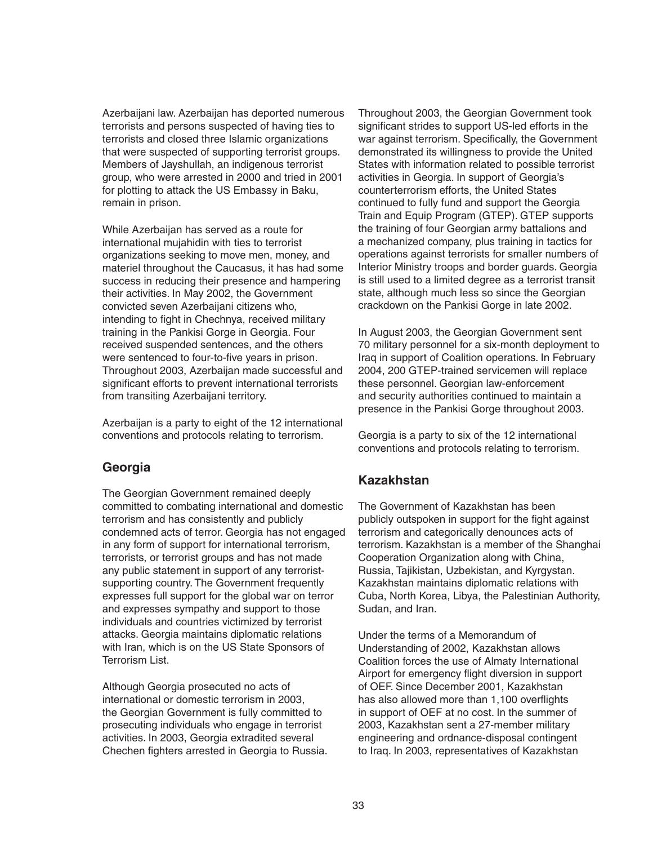Azerbaijani law. Azerbaijan has deported numerous terrorists and persons suspected of having ties to terrorists and closed three Islamic organizations that were suspected of supporting terrorist groups. Members of Jayshullah, an indigenous terrorist group, who were arrested in 2000 and tried in 2001 for plotting to attack the US Embassy in Baku, remain in prison.

While Azerbaijan has served as a route for international mujahidin with ties to terrorist organizations seeking to move men, money, and materiel throughout the Caucasus, it has had some success in reducing their presence and hampering their activities. In May 2002, the Government convicted seven Azerbaijani citizens who, intending to fight in Chechnya, received military training in the Pankisi Gorge in Georgia. Four received suspended sentences, and the others were sentenced to four-to-five years in prison. Throughout 2003, Azerbaijan made successful and significant efforts to prevent international terrorists from transiting Azerbaijani territory.

Azerbaijan is a party to eight of the 12 international conventions and protocols relating to terrorism.

#### **Georgia**

The Georgian Government remained deeply committed to combating international and domestic terrorism and has consistently and publicly condemned acts of terror. Georgia has not engaged in any form of support for international terrorism, terrorists, or terrorist groups and has not made any public statement in support of any terroristsupporting country. The Government frequently expresses full support for the global war on terror and expresses sympathy and support to those individuals and countries victimized by terrorist attacks. Georgia maintains diplomatic relations with Iran, which is on the US State Sponsors of Terrorism List.

Although Georgia prosecuted no acts of international or domestic terrorism in 2003, the Georgian Government is fully committed to prosecuting individuals who engage in terrorist activities. In 2003, Georgia extradited several Chechen fighters arrested in Georgia to Russia. Throughout 2003, the Georgian Government took significant strides to support US-led efforts in the war against terrorism. Specifically, the Government demonstrated its willingness to provide the United States with information related to possible terrorist activities in Georgia. In support of Georgia's counterterrorism efforts, the United States continued to fully fund and support the Georgia Train and Equip Program (GTEP). GTEP supports the training of four Georgian army battalions and a mechanized company, plus training in tactics for operations against terrorists for smaller numbers of Interior Ministry troops and border guards. Georgia is still used to a limited degree as a terrorist transit state, although much less so since the Georgian crackdown on the Pankisi Gorge in late 2002.

In August 2003, the Georgian Government sent 70 military personnel for a six-month deployment to Iraq in support of Coalition operations. In February 2004, 200 GTEP-trained servicemen will replace these personnel. Georgian law-enforcement and security authorities continued to maintain a presence in the Pankisi Gorge throughout 2003.

Georgia is a party to six of the 12 international conventions and protocols relating to terrorism.

#### **Kazakhstan**

The Government of Kazakhstan has been publicly outspoken in support for the fight against terrorism and categorically denounces acts of terrorism. Kazakhstan is a member of the Shanghai Cooperation Organization along with China, Russia, Tajikistan, Uzbekistan, and Kyrgystan. Kazakhstan maintains diplomatic relations with Cuba, North Korea, Libya, the Palestinian Authority, Sudan, and Iran.

Under the terms of a Memorandum of Understanding of 2002, Kazakhstan allows Coalition forces the use of Almaty International Airport for emergency flight diversion in support of OEF. Since December 2001, Kazakhstan has also allowed more than 1,100 overflights in support of OEF at no cost. In the summer of 2003, Kazakhstan sent a 27-member military engineering and ordnance-disposal contingent to Iraq. In 2003, representatives of Kazakhstan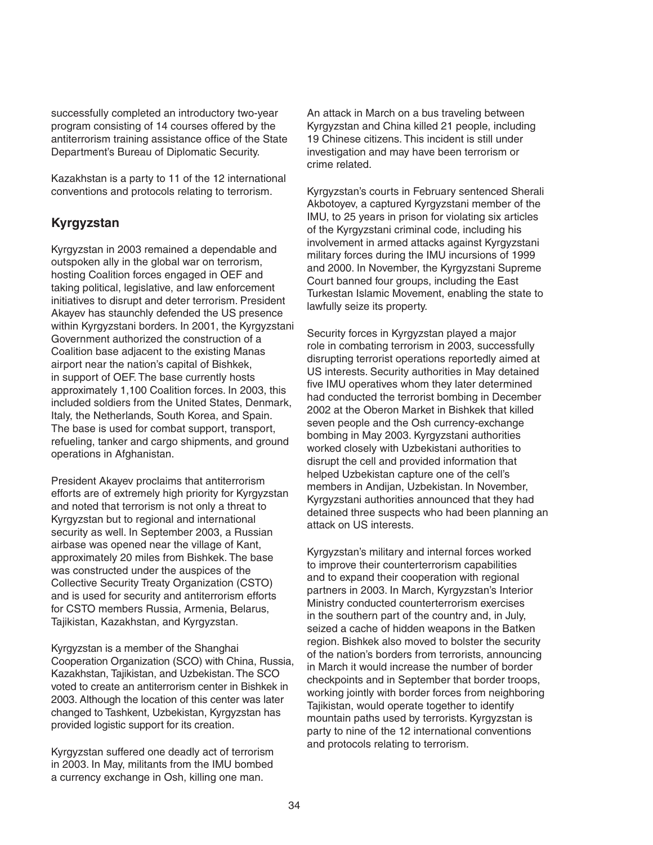successfully completed an introductory two-year program consisting of 14 courses offered by the antiterrorism training assistance office of the State Department's Bureau of Diplomatic Security.

Kazakhstan is a party to 11 of the 12 international conventions and protocols relating to terrorism.

# **Kyrgyzstan**

Kyrgyzstan in 2003 remained a dependable and outspoken ally in the global war on terrorism, hosting Coalition forces engaged in OEF and taking political, legislative, and law enforcement initiatives to disrupt and deter terrorism. President Akayev has staunchly defended the US presence within Kyrgyzstani borders. In 2001, the Kyrgyzstani Government authorized the construction of a Coalition base adjacent to the existing Manas airport near the nation's capital of Bishkek, in support of OEF. The base currently hosts approximately 1,100 Coalition forces. In 2003, this included soldiers from the United States, Denmark, Italy, the Netherlands, South Korea, and Spain. The base is used for combat support, transport, refueling, tanker and cargo shipments, and ground operations in Afghanistan.

President Akayev proclaims that antiterrorism efforts are of extremely high priority for Kyrgyzstan and noted that terrorism is not only a threat to Kyrgyzstan but to regional and international security as well. In September 2003, a Russian airbase was opened near the village of Kant, approximately 20 miles from Bishkek. The base was constructed under the auspices of the Collective Security Treaty Organization (CSTO) and is used for security and antiterrorism efforts for CSTO members Russia, Armenia, Belarus, Tajikistan, Kazakhstan, and Kyrgyzstan.

Kyrgyzstan is a member of the Shanghai Cooperation Organization (SCO) with China, Russia, Kazakhstan, Tajikistan, and Uzbekistan. The SCO voted to create an antiterrorism center in Bishkek in 2003. Although the location of this center was later changed to Tashkent, Uzbekistan, Kyrgyzstan has provided logistic support for its creation.

Kyrgyzstan suffered one deadly act of terrorism in 2003. In May, militants from the IMU bombed a currency exchange in Osh, killing one man.

An attack in March on a bus traveling between Kyrgyzstan and China killed 21 people, including 19 Chinese citizens. This incident is still under investigation and may have been terrorism or crime related.

Kyrgyzstan's courts in February sentenced Sherali Akbotoyev, a captured Kyrgyzstani member of the IMU, to 25 years in prison for violating six articles of the Kyrgyzstani criminal code, including his involvement in armed attacks against Kyrgyzstani military forces during the IMU incursions of 1999 and 2000. In November, the Kyrgyzstani Supreme Court banned four groups, including the East Turkestan Islamic Movement, enabling the state to lawfully seize its property.

Security forces in Kyrgyzstan played a major role in combating terrorism in 2003, successfully disrupting terrorist operations reportedly aimed at US interests. Security authorities in May detained five IMU operatives whom they later determined had conducted the terrorist bombing in December 2002 at the Oberon Market in Bishkek that killed seven people and the Osh currency-exchange bombing in May 2003. Kyrgyzstani authorities worked closely with Uzbekistani authorities to disrupt the cell and provided information that helped Uzbekistan capture one of the cell's members in Andijan, Uzbekistan. In November, Kyrgyzstani authorities announced that they had detained three suspects who had been planning an attack on US interests.

Kyrgyzstan's military and internal forces worked to improve their counterterrorism capabilities and to expand their cooperation with regional partners in 2003. In March, Kyrgyzstan's Interior Ministry conducted counterterrorism exercises in the southern part of the country and, in July, seized a cache of hidden weapons in the Batken region. Bishkek also moved to bolster the security of the nation's borders from terrorists, announcing in March it would increase the number of border checkpoints and in September that border troops, working jointly with border forces from neighboring Tajikistan, would operate together to identify mountain paths used by terrorists. Kyrgyzstan is party to nine of the 12 international conventions and protocols relating to terrorism.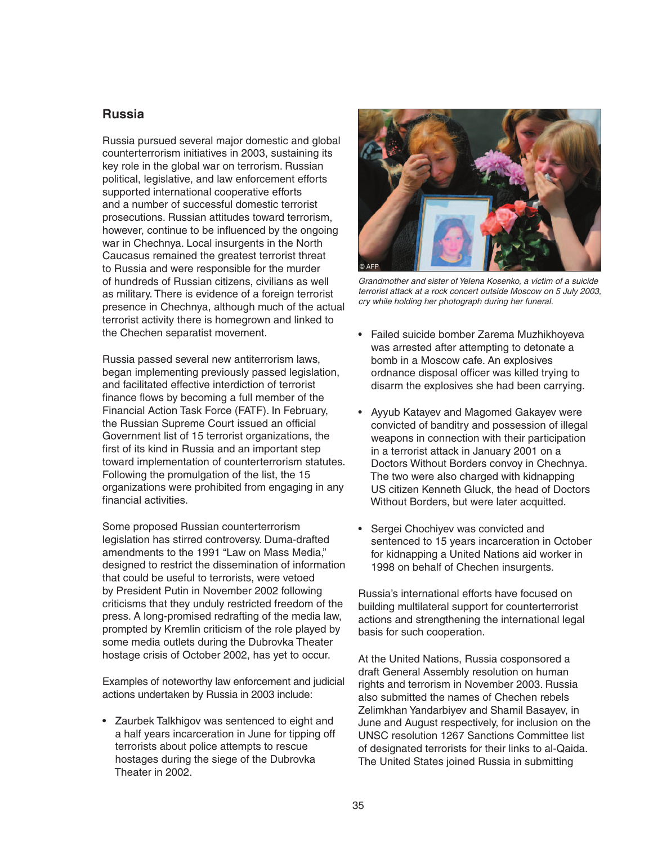#### **Russia**

Russia pursued several major domestic and global counterterrorism initiatives in 2003, sustaining its key role in the global war on terrorism. Russian political, legislative, and law enforcement efforts supported international cooperative efforts and a number of successful domestic terrorist prosecutions. Russian attitudes toward terrorism, however, continue to be influenced by the ongoing war in Chechnya. Local insurgents in the North Caucasus remained the greatest terrorist threat to Russia and were responsible for the murder of hundreds of Russian citizens, civilians as well as military. There is evidence of a foreign terrorist presence in Chechnya, although much of the actual terrorist activity there is homegrown and linked to the Chechen separatist movement.

Russia passed several new antiterrorism laws, began implementing previously passed legislation, and facilitated effective interdiction of terrorist finance flows by becoming a full member of the Financial Action Task Force (FATF). In February, the Russian Supreme Court issued an official Government list of 15 terrorist organizations, the first of its kind in Russia and an important step toward implementation of counterterrorism statutes. Following the promulgation of the list, the 15 organizations were prohibited from engaging in any financial activities.

Some proposed Russian counterterrorism legislation has stirred controversy. Duma-drafted amendments to the 1991 "Law on Mass Media," designed to restrict the dissemination of information that could be useful to terrorists, were vetoed by President Putin in November 2002 following criticisms that they unduly restricted freedom of the press. A long-promised redrafting of the media law, prompted by Kremlin criticism of the role played by some media outlets during the Dubrovka Theater hostage crisis of October 2002, has yet to occur.

Examples of noteworthy law enforcement and judicial actions undertaken by Russia in 2003 include:

• Zaurbek Talkhigov was sentenced to eight and a half years incarceration in June for tipping off terrorists about police attempts to rescue hostages during the siege of the Dubrovka Theater in 2002.



Grandmother and sister of Yelena Kosenko, a victim of a suicide terrorist attack at a rock concert outside Moscow on 5 July 2003, cry while holding her photograph during her funeral.

- Failed suicide bomber Zarema Muzhikhoyeva was arrested after attempting to detonate a bomb in a Moscow cafe. An explosives ordnance disposal officer was killed trying to disarm the explosives she had been carrying.
- Ayyub Katayev and Magomed Gakayev were convicted of banditry and possession of illegal weapons in connection with their participation in a terrorist attack in January 2001 on a Doctors Without Borders convoy in Chechnya. The two were also charged with kidnapping US citizen Kenneth Gluck, the head of Doctors Without Borders, but were later acquitted.
- Sergei Chochiyev was convicted and sentenced to 15 years incarceration in October for kidnapping a United Nations aid worker in 1998 on behalf of Chechen insurgents.

Russia's international efforts have focused on building multilateral support for counterterrorist actions and strengthening the international legal basis for such cooperation.

At the United Nations, Russia cosponsored a draft General Assembly resolution on human rights and terrorism in November 2003. Russia also submitted the names of Chechen rebels Zelimkhan Yandarbiyev and Shamil Basayev, in June and August respectively, for inclusion on the UNSC resolution 1267 Sanctions Committee list of designated terrorists for their links to al-Qaida. The United States joined Russia in submitting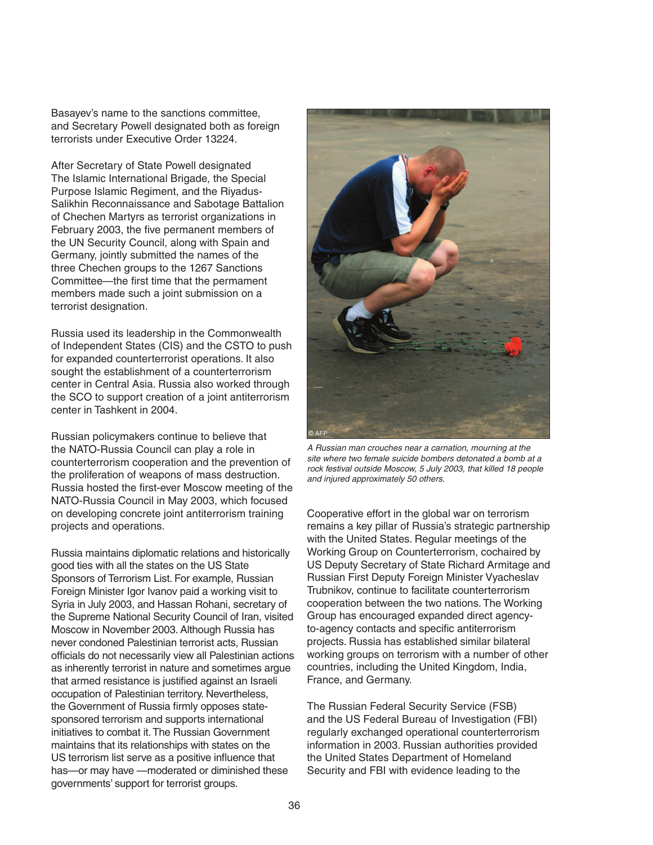Basayev's name to the sanctions committee, and Secretary Powell designated both as foreign terrorists under Executive Order 13224.

After Secretary of State Powell designated The Islamic International Brigade, the Special Purpose Islamic Regiment, and the Riyadus-Salikhin Reconnaissance and Sabotage Battalion of Chechen Martyrs as terrorist organizations in February 2003, the five permanent members of the UN Security Council, along with Spain and Germany, jointly submitted the names of the three Chechen groups to the 1267 Sanctions Committee—the first time that the permament members made such a joint submission on a terrorist designation.

Russia used its leadership in the Commonwealth of Independent States (CIS) and the CSTO to push for expanded counterterrorist operations. It also sought the establishment of a counterterrorism center in Central Asia. Russia also worked through the SCO to support creation of a joint antiterrorism center in Tashkent in 2004.

Russian policymakers continue to believe that the NATO-Russia Council can play a role in counterterrorism cooperation and the prevention of the proliferation of weapons of mass destruction. Russia hosted the first-ever Moscow meeting of the NATO-Russia Council in May 2003, which focused on developing concrete joint antiterrorism training projects and operations.

Russia maintains diplomatic relations and historically good ties with all the states on the US State Sponsors of Terrorism List. For example, Russian Foreign Minister Igor Ivanov paid a working visit to Syria in July 2003, and Hassan Rohani, secretary of the Supreme National Security Council of Iran, visited Moscow in November 2003. Although Russia has never condoned Palestinian terrorist acts, Russian officials do not necessarily view all Palestinian actions as inherently terrorist in nature and sometimes argue that armed resistance is justified against an Israeli occupation of Palestinian territory. Nevertheless, the Government of Russia firmly opposes statesponsored terrorism and supports international initiatives to combat it. The Russian Government maintains that its relationships with states on the US terrorism list serve as a positive influence that has—or may have —moderated or diminished these governments' support for terrorist groups.



A Russian man crouches near a carnation, mourning at the site where two female suicide bombers detonated a bomb at a rock festival outside Moscow, 5 July 2003, that killed 18 people and injured approximately 50 others.

Cooperative effort in the global war on terrorism remains a key pillar of Russia's strategic partnership with the United States. Regular meetings of the Working Group on Counterterrorism, cochaired by US Deputy Secretary of State Richard Armitage and Russian First Deputy Foreign Minister Vyacheslav Trubnikov, continue to facilitate counterterrorism cooperation between the two nations. The Working Group has encouraged expanded direct agencyto-agency contacts and specific antiterrorism projects. Russia has established similar bilateral working groups on terrorism with a number of other countries, including the United Kingdom, India, France, and Germany.

The Russian Federal Security Service (FSB) and the US Federal Bureau of Investigation (FBI) regularly exchanged operational counterterrorism information in 2003. Russian authorities provided the United States Department of Homeland Security and FBI with evidence leading to the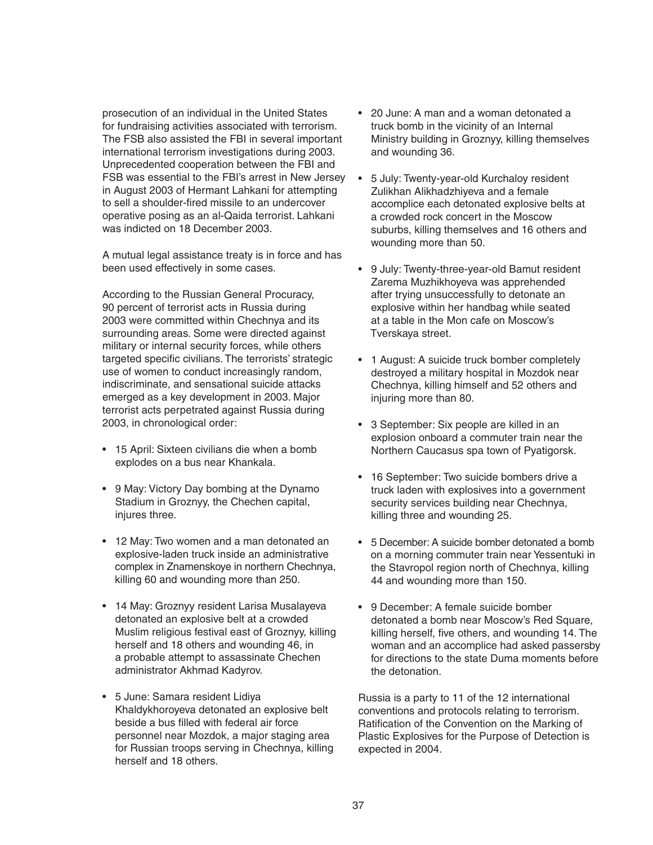prosecution of an individual in the United States for fundraising activities associated with terrorism. The FSB also assisted the FBI in several important international terrorism investigations during 2003. Unprecedented cooperation between the FBI and FSB was essential to the FBI's arrest in New Jersey in August 2003 of Hermant Lahkani for attempting to sell a shoulder-fired missile to an undercover operative posing as an al-Qaida terrorist. Lahkani was indicted on 18 December 2003.

A mutual legal assistance treaty is in force and has been used effectively in some cases.

According to the Russian General Procuracy, 90 percent of terrorist acts in Russia during 2003 were committed within Chechnya and its surrounding areas. Some were directed against military or internal security forces, while others targeted specific civilians. The terrorists' strategic use of women to conduct increasingly random, indiscriminate, and sensational suicide attacks emerged as a key development in 2003. Major terrorist acts perpetrated against Russia during 2003, in chronological order:

- 15 April: Sixteen civilians die when a bomb explodes on a bus near Khankala.
- 9 May: Victory Day bombing at the Dynamo Stadium in Groznyy, the Chechen capital, injures three.
- 12 May: Two women and a man detonated an explosive-laden truck inside an administrative complex in Znamenskoye in northern Chechnya, killing 60 and wounding more than 250.
- 14 May: Groznyy resident Larisa Musalayeva detonated an explosive belt at a crowded Muslim religious festival east of Groznyy, killing herself and 18 others and wounding 46, in a probable attempt to assassinate Chechen administrator Akhmad Kadyrov.
- 5 June: Samara resident Lidiya Khaldykhoroyeva detonated an explosive belt beside a bus filled with federal air force personnel near Mozdok, a major staging area for Russian troops serving in Chechnya, killing herself and 18 others.
- 20 June: A man and a woman detonated a truck bomb in the vicinity of an Internal Ministry building in Groznyy, killing themselves and wounding 36.
- 5 July: Twenty-year-old Kurchaloy resident Zulikhan Alikhadzhiyeva and a female accomplice each detonated explosive belts at a crowded rock concert in the Moscow suburbs, killing themselves and 16 others and wounding more than 50.
- 9 July: Twenty-three-year-old Bamut resident Zarema Muzhikhoyeva was apprehended after trying unsuccessfully to detonate an explosive within her handbag while seated at a table in the Mon cafe on Moscow's Tverskaya street.
- 1 August: A suicide truck bomber completely destroyed a military hospital in Mozdok near Chechnya, killing himself and 52 others and injuring more than 80.
- 3 September: Six people are killed in an explosion onboard a commuter train near the Northern Caucasus spa town of Pyatigorsk.
- 16 September: Two suicide bombers drive a truck laden with explosives into a government security services building near Chechnya, killing three and wounding 25.
- 5 December: A suicide bomber detonated a bomb on a morning commuter train near Yessentuki in the Stavropol region north of Chechnya, killing 44 and wounding more than 150.
- 9 December: A female suicide bomber detonated a bomb near Moscow's Red Square, killing herself, five others, and wounding 14. The woman and an accomplice had asked passersby for directions to the state Duma moments before the detonation.

Russia is a party to 11 of the 12 international conventions and protocols relating to terrorism. Ratification of the Convention on the Marking of Plastic Explosives for the Purpose of Detection is expected in 2004.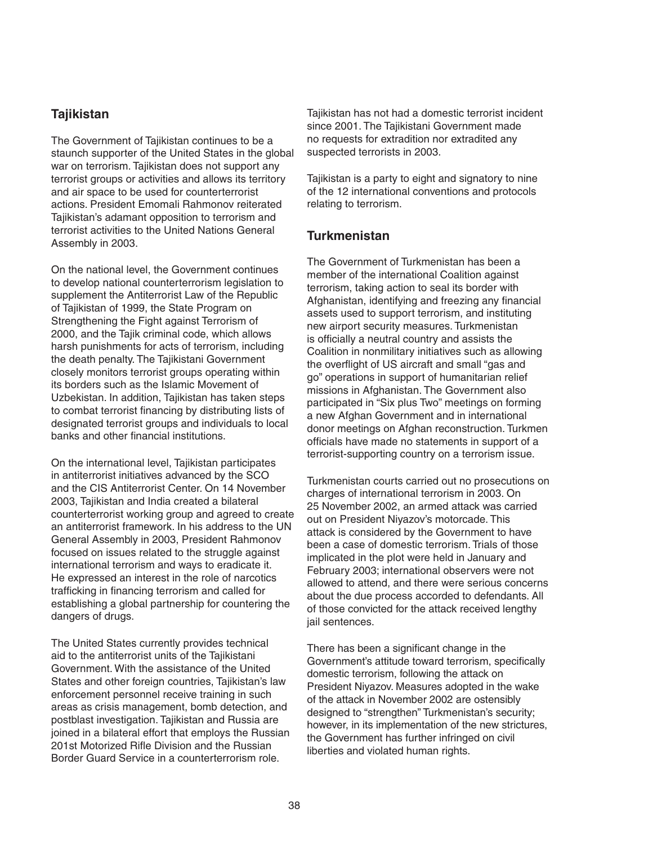# **Tajikistan**

The Government of Tajikistan continues to be a staunch supporter of the United States in the global war on terrorism. Tajikistan does not support any terrorist groups or activities and allows its territory and air space to be used for counterterrorist actions. President Emomali Rahmonov reiterated Tajikistan's adamant opposition to terrorism and terrorist activities to the United Nations General Assembly in 2003.

On the national level, the Government continues to develop national counterterrorism legislation to supplement the Antiterrorist Law of the Republic of Tajikistan of 1999, the State Program on Strengthening the Fight against Terrorism of 2000, and the Tajik criminal code, which allows harsh punishments for acts of terrorism, including the death penalty. The Tajikistani Government closely monitors terrorist groups operating within its borders such as the Islamic Movement of Uzbekistan. In addition, Tajikistan has taken steps to combat terrorist financing by distributing lists of designated terrorist groups and individuals to local banks and other financial institutions.

On the international level, Tajikistan participates in antiterrorist initiatives advanced by the SCO and the CIS Antiterrorist Center. On 14 November 2003, Tajikistan and India created a bilateral counterterrorist working group and agreed to create an antiterrorist framework. In his address to the UN General Assembly in 2003, President Rahmonov focused on issues related to the struggle against international terrorism and ways to eradicate it. He expressed an interest in the role of narcotics trafficking in financing terrorism and called for establishing a global partnership for countering the dangers of drugs.

The United States currently provides technical aid to the antiterrorist units of the Tajikistani Government. With the assistance of the United States and other foreign countries, Tajikistan's law enforcement personnel receive training in such areas as crisis management, bomb detection, and postblast investigation. Tajikistan and Russia are joined in a bilateral effort that employs the Russian 201st Motorized Rifle Division and the Russian Border Guard Service in a counterterrorism role.

Tajikistan has not had a domestic terrorist incident since 2001. The Tajikistani Government made no requests for extradition nor extradited any suspected terrorists in 2003.

Tajikistan is a party to eight and signatory to nine of the 12 international conventions and protocols relating to terrorism.

#### **Turkmenistan**

The Government of Turkmenistan has been a member of the international Coalition against terrorism, taking action to seal its border with Afghanistan, identifying and freezing any financial assets used to support terrorism, and instituting new airport security measures. Turkmenistan is officially a neutral country and assists the Coalition in nonmilitary initiatives such as allowing the overflight of US aircraft and small "gas and go" operations in support of humanitarian relief missions in Afghanistan. The Government also participated in "Six plus Two" meetings on forming a new Afghan Government and in international donor meetings on Afghan reconstruction. Turkmen officials have made no statements in support of a terrorist-supporting country on a terrorism issue.

Turkmenistan courts carried out no prosecutions on charges of international terrorism in 2003. On 25 November 2002, an armed attack was carried out on President Niyazov's motorcade. This attack is considered by the Government to have been a case of domestic terrorism. Trials of those implicated in the plot were held in January and February 2003; international observers were not allowed to attend, and there were serious concerns about the due process accorded to defendants. All of those convicted for the attack received lengthy jail sentences.

There has been a significant change in the Government's attitude toward terrorism, specifically domestic terrorism, following the attack on President Niyazov. Measures adopted in the wake of the attack in November 2002 are ostensibly designed to "strengthen" Turkmenistan's security; however, in its implementation of the new strictures, the Government has further infringed on civil liberties and violated human rights.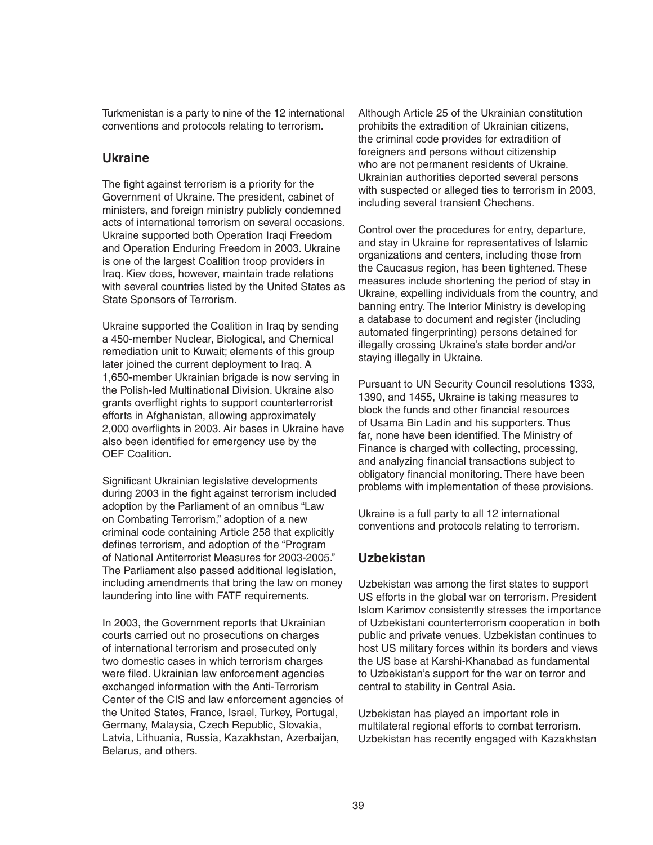Turkmenistan is a party to nine of the 12 international conventions and protocols relating to terrorism.

### **Ukraine**

The fight against terrorism is a priority for the Government of Ukraine. The president, cabinet of ministers, and foreign ministry publicly condemned acts of international terrorism on several occasions. Ukraine supported both Operation Iraqi Freedom and Operation Enduring Freedom in 2003. Ukraine is one of the largest Coalition troop providers in Iraq. Kiev does, however, maintain trade relations with several countries listed by the United States as State Sponsors of Terrorism.

Ukraine supported the Coalition in Iraq by sending a 450-member Nuclear, Biological, and Chemical remediation unit to Kuwait; elements of this group later joined the current deployment to Iraq. A 1,650-member Ukrainian brigade is now serving in the Polish-led Multinational Division. Ukraine also grants overflight rights to support counterterrorist efforts in Afghanistan, allowing approximately 2,000 overflights in 2003. Air bases in Ukraine have also been identified for emergency use by the OEF Coalition.

Significant Ukrainian legislative developments during 2003 in the fight against terrorism included adoption by the Parliament of an omnibus "Law on Combating Terrorism," adoption of a new criminal code containing Article 258 that explicitly defines terrorism, and adoption of the "Program of National Antiterrorist Measures for 2003-2005." The Parliament also passed additional legislation, including amendments that bring the law on money laundering into line with FATF requirements.

In 2003, the Government reports that Ukrainian courts carried out no prosecutions on charges of international terrorism and prosecuted only two domestic cases in which terrorism charges were filed. Ukrainian law enforcement agencies exchanged information with the Anti-Terrorism Center of the CIS and law enforcement agencies of the United States, France, Israel, Turkey, Portugal, Germany, Malaysia, Czech Republic, Slovakia, Latvia, Lithuania, Russia, Kazakhstan, Azerbaijan, Belarus, and others.

Although Article 25 of the Ukrainian constitution prohibits the extradition of Ukrainian citizens, the criminal code provides for extradition of foreigners and persons without citizenship who are not permanent residents of Ukraine. Ukrainian authorities deported several persons with suspected or alleged ties to terrorism in 2003, including several transient Chechens.

Control over the procedures for entry, departure, and stay in Ukraine for representatives of Islamic organizations and centers, including those from the Caucasus region, has been tightened. These measures include shortening the period of stay in Ukraine, expelling individuals from the country, and banning entry. The Interior Ministry is developing a database to document and register (including automated fingerprinting) persons detained for illegally crossing Ukraine's state border and/or staying illegally in Ukraine.

Pursuant to UN Security Council resolutions 1333, 1390, and 1455, Ukraine is taking measures to block the funds and other financial resources of Usama Bin Ladin and his supporters. Thus far, none have been identified. The Ministry of Finance is charged with collecting, processing, and analyzing financial transactions subject to obligatory financial monitoring. There have been problems with implementation of these provisions.

Ukraine is a full party to all 12 international conventions and protocols relating to terrorism.

### **Uzbekistan**

Uzbekistan was among the first states to support US efforts in the global war on terrorism. President Islom Karimov consistently stresses the importance of Uzbekistani counterterrorism cooperation in both public and private venues. Uzbekistan continues to host US military forces within its borders and views the US base at Karshi-Khanabad as fundamental to Uzbekistan's support for the war on terror and central to stability in Central Asia.

Uzbekistan has played an important role in multilateral regional efforts to combat terrorism. Uzbekistan has recently engaged with Kazakhstan